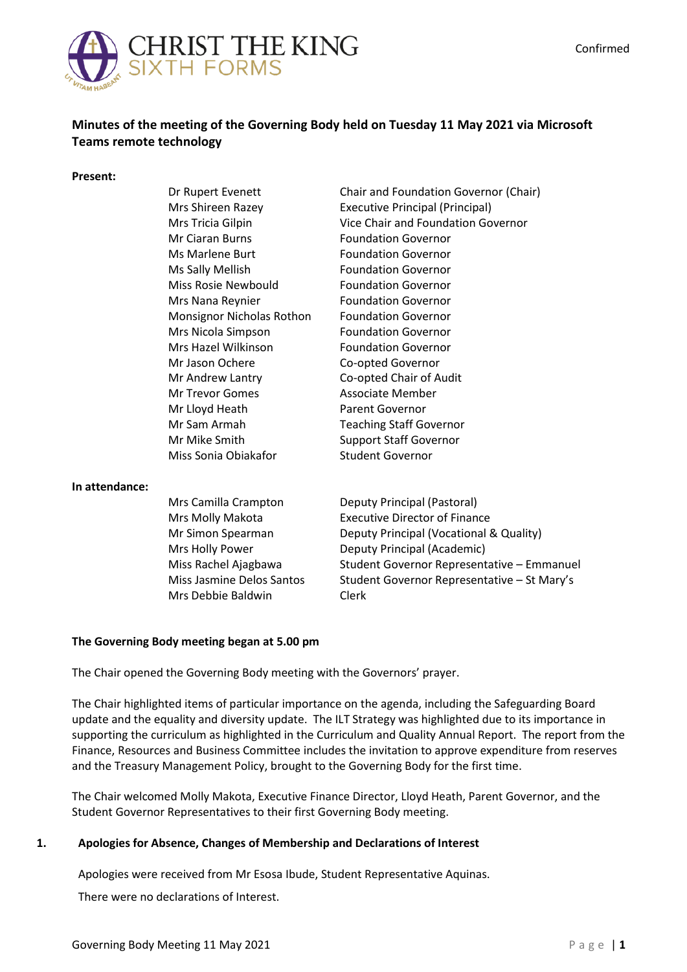

# **Minutes of the meeting of the Governing Body held on Tuesday 11 May 2021 via Microsoft Teams remote technology**

#### **Present:**

| Dr Rupert Evenett         | Chair and Foundation Governor (Chair)  |
|---------------------------|----------------------------------------|
| Mrs Shireen Razey         | <b>Executive Principal (Principal)</b> |
| Mrs Tricia Gilpin         | Vice Chair and Foundation Governor     |
| <b>Mr Ciaran Burns</b>    | <b>Foundation Governor</b>             |
| Ms Marlene Burt           | <b>Foundation Governor</b>             |
| Ms Sally Mellish          | <b>Foundation Governor</b>             |
| Miss Rosie Newbould       | <b>Foundation Governor</b>             |
| Mrs Nana Reynier          | <b>Foundation Governor</b>             |
| Monsignor Nicholas Rothon | <b>Foundation Governor</b>             |
| Mrs Nicola Simpson        | <b>Foundation Governor</b>             |
| Mrs Hazel Wilkinson       | <b>Foundation Governor</b>             |
| Mr Jason Ochere           | Co-opted Governor                      |
| Mr Andrew Lantry          | Co-opted Chair of Audit                |
| Mr Trevor Gomes           | Associate Member                       |
| Mr Lloyd Heath            | <b>Parent Governor</b>                 |
| Mr Sam Armah              | <b>Teaching Staff Governor</b>         |
| Mr Mike Smith             | <b>Support Staff Governor</b>          |
| Miss Sonia Obiakafor      | <b>Student Governor</b>                |
|                           |                                        |

#### **In attendance:**

| Mrs Camilla Crampton      | Deputy Principal (Pastoral)                 |
|---------------------------|---------------------------------------------|
| Mrs Molly Makota          | <b>Executive Director of Finance</b>        |
| Mr Simon Spearman         | Deputy Principal (Vocational & Quality)     |
| Mrs Holly Power           | Deputy Principal (Academic)                 |
| Miss Rachel Ajagbawa      | Student Governor Representative - Emmanuel  |
| Miss Jasmine Delos Santos | Student Governor Representative - St Mary's |
| Mrs Debbie Baldwin        | Clerk                                       |

#### **The Governing Body meeting began at 5.00 pm**

The Chair opened the Governing Body meeting with the Governors' prayer.

The Chair highlighted items of particular importance on the agenda, including the Safeguarding Board update and the equality and diversity update. The ILT Strategy was highlighted due to its importance in supporting the curriculum as highlighted in the Curriculum and Quality Annual Report. The report from the Finance, Resources and Business Committee includes the invitation to approve expenditure from reserves and the Treasury Management Policy, brought to the Governing Body for the first time.

The Chair welcomed Molly Makota, Executive Finance Director, Lloyd Heath, Parent Governor, and the Student Governor Representatives to their first Governing Body meeting.

#### **1. 1 Apologies for Absence, Changes of Membership and Declarations of Interest**

Apologies were received from Mr Esosa Ibude, Student Representative Aquinas.

There were no declarations of Interest.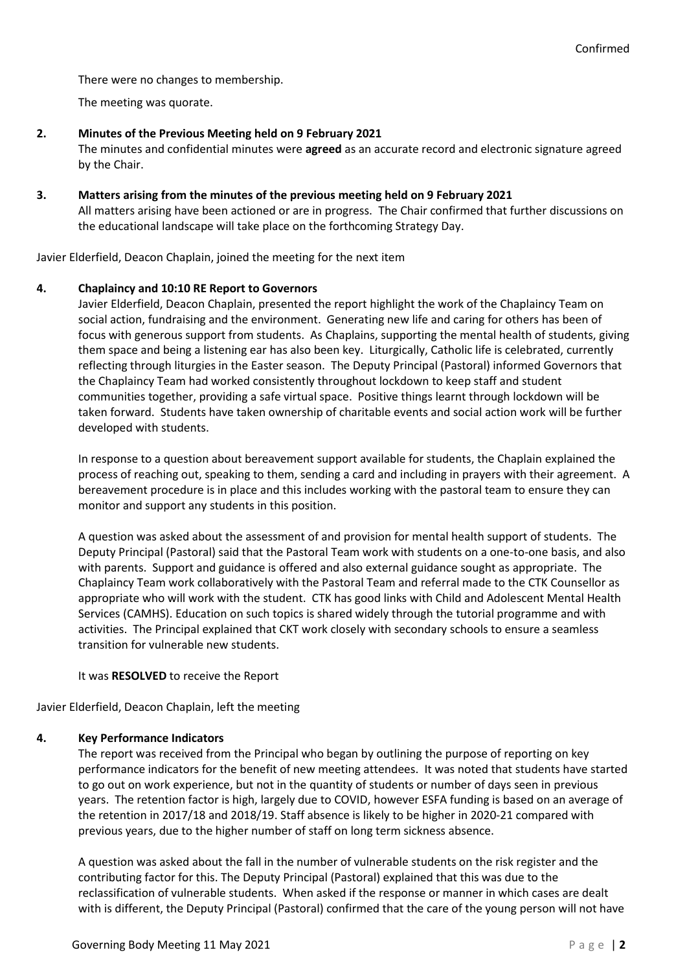There were no changes to membership.

The meeting was quorate.

## **2. Minutes of the Previous Meeting held on 9 February 2021**

The minutes and confidential minutes were **agreed** as an accurate record and electronic signature agreed by the Chair.

**3. Matters arising from the minutes of the previous meeting held on 9 February 2021** All matters arising have been actioned or are in progress. The Chair confirmed that further discussions on the educational landscape will take place on the forthcoming Strategy Day.

Javier Elderfield, Deacon Chaplain, joined the meeting for the next item

# **4. Chaplaincy and 10:10 RE Report to Governors**

Javier Elderfield, Deacon Chaplain, presented the report highlight the work of the Chaplaincy Team on social action, fundraising and the environment. Generating new life and caring for others has been of focus with generous support from students. As Chaplains, supporting the mental health of students, giving them space and being a listening ear has also been key. Liturgically, Catholic life is celebrated, currently reflecting through liturgies in the Easter season. The Deputy Principal (Pastoral) informed Governors that the Chaplaincy Team had worked consistently throughout lockdown to keep staff and student communities together, providing a safe virtual space. Positive things learnt through lockdown will be taken forward. Students have taken ownership of charitable events and social action work will be further developed with students.

In response to a question about bereavement support available for students, the Chaplain explained the process of reaching out, speaking to them, sending a card and including in prayers with their agreement. A bereavement procedure is in place and this includes working with the pastoral team to ensure they can monitor and support any students in this position.

A question was asked about the assessment of and provision for mental health support of students. The Deputy Principal (Pastoral) said that the Pastoral Team work with students on a one-to-one basis, and also with parents. Support and guidance is offered and also external guidance sought as appropriate. The Chaplaincy Team work collaboratively with the Pastoral Team and referral made to the CTK Counsellor as appropriate who will work with the student. CTK has good links with Child and Adolescent Mental Health Services (CAMHS). Education on such topics is shared widely through the tutorial programme and with activities. The Principal explained that CKT work closely with secondary schools to ensure a seamless transition for vulnerable new students.

It was **RESOLVED** to receive the Report

Javier Elderfield, Deacon Chaplain, left the meeting

#### **4. Key Performance Indicators**

The report was received from the Principal who began by outlining the purpose of reporting on key performance indicators for the benefit of new meeting attendees. It was noted that students have started to go out on work experience, but not in the quantity of students or number of days seen in previous years. The retention factor is high, largely due to COVID, however ESFA funding is based on an average of the retention in 2017/18 and 2018/19. Staff absence is likely to be higher in 2020-21 compared with previous years, due to the higher number of staff on long term sickness absence.

A question was asked about the fall in the number of vulnerable students on the risk register and the contributing factor for this. The Deputy Principal (Pastoral) explained that this was due to the reclassification of vulnerable students. When asked if the response or manner in which cases are dealt with is different, the Deputy Principal (Pastoral) confirmed that the care of the young person will not have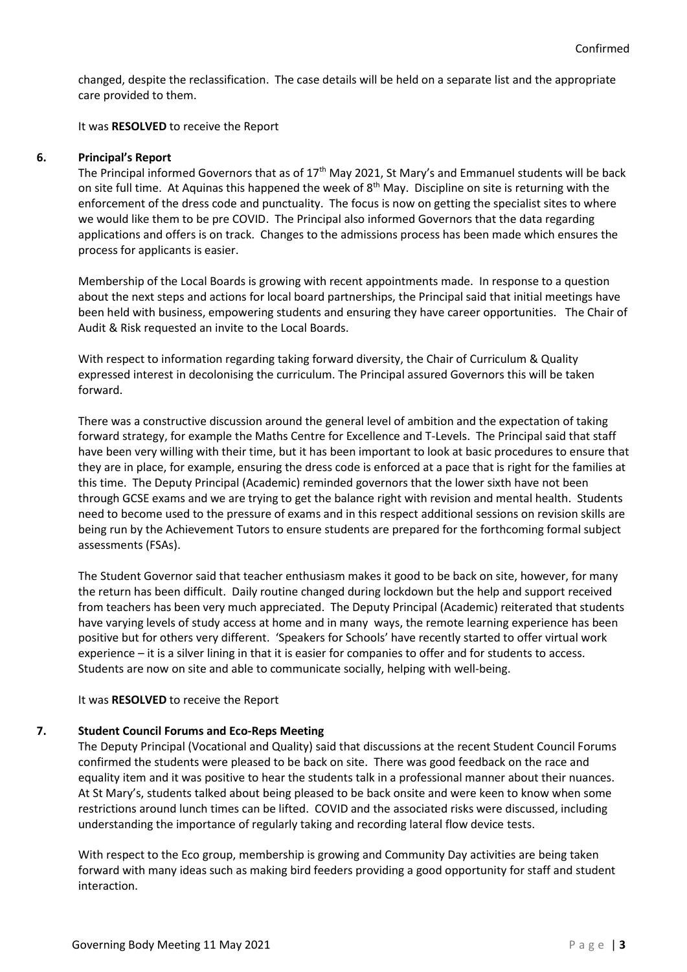changed, despite the reclassification. The case details will be held on a separate list and the appropriate care provided to them.

It was **RESOLVED** to receive the Report

# **6. Principal's Report**

The Principal informed Governors that as of  $17<sup>th</sup>$  May 2021, St Mary's and Emmanuel students will be back on site full time. At Aquinas this happened the week of  $8<sup>th</sup>$  May. Discipline on site is returning with the enforcement of the dress code and punctuality. The focus is now on getting the specialist sites to where we would like them to be pre COVID. The Principal also informed Governors that the data regarding applications and offers is on track. Changes to the admissions process has been made which ensures the process for applicants is easier.

Membership of the Local Boards is growing with recent appointments made. In response to a question about the next steps and actions for local board partnerships, the Principal said that initial meetings have been held with business, empowering students and ensuring they have career opportunities. The Chair of Audit & Risk requested an invite to the Local Boards.

With respect to information regarding taking forward diversity, the Chair of Curriculum & Quality expressed interest in decolonising the curriculum. The Principal assured Governors this will be taken forward.

There was a constructive discussion around the general level of ambition and the expectation of taking forward strategy, for example the Maths Centre for Excellence and T-Levels. The Principal said that staff have been very willing with their time, but it has been important to look at basic procedures to ensure that they are in place, for example, ensuring the dress code is enforced at a pace that is right for the families at this time. The Deputy Principal (Academic) reminded governors that the lower sixth have not been through GCSE exams and we are trying to get the balance right with revision and mental health. Students need to become used to the pressure of exams and in this respect additional sessions on revision skills are being run by the Achievement Tutors to ensure students are prepared for the forthcoming formal subject assessments (FSAs).

The Student Governor said that teacher enthusiasm makes it good to be back on site, however, for many the return has been difficult. Daily routine changed during lockdown but the help and support received from teachers has been very much appreciated. The Deputy Principal (Academic) reiterated that students have varying levels of study access at home and in many ways, the remote learning experience has been positive but for others very different. 'Speakers for Schools' have recently started to offer virtual work experience – it is a silver lining in that it is easier for companies to offer and for students to access. Students are now on site and able to communicate socially, helping with well-being.

# It was **RESOLVED** to receive the Report

# **7. Student Council Forums and Eco-Reps Meeting**

The Deputy Principal (Vocational and Quality) said that discussions at the recent Student Council Forums confirmed the students were pleased to be back on site. There was good feedback on the race and equality item and it was positive to hear the students talk in a professional manner about their nuances. At St Mary's, students talked about being pleased to be back onsite and were keen to know when some restrictions around lunch times can be lifted. COVID and the associated risks were discussed, including understanding the importance of regularly taking and recording lateral flow device tests.

With respect to the Eco group, membership is growing and Community Day activities are being taken forward with many ideas such as making bird feeders providing a good opportunity for staff and student interaction.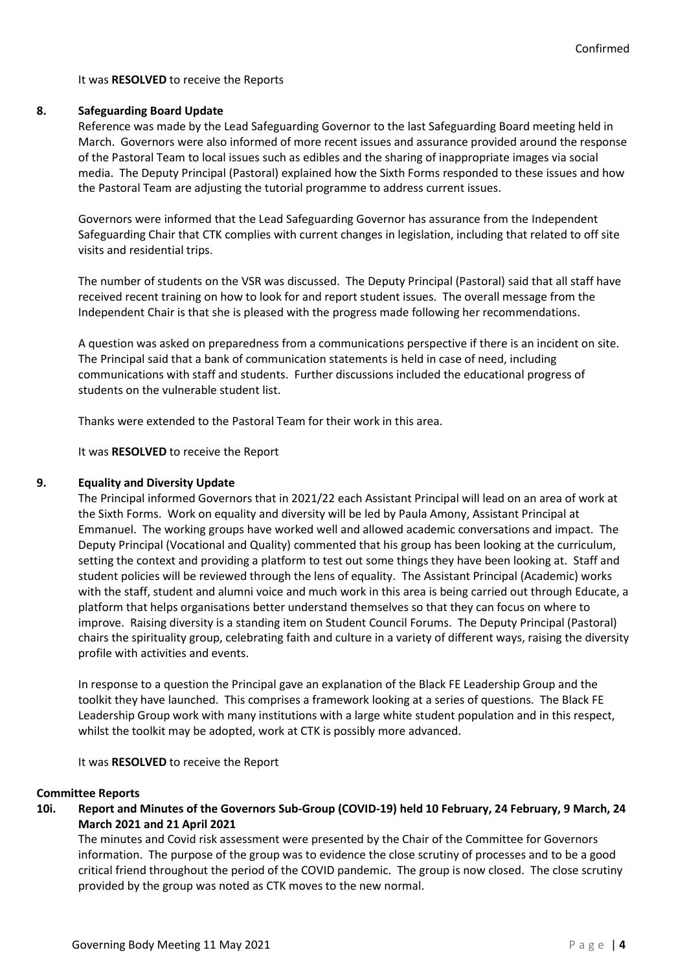#### It was **RESOLVED** to receive the Reports

#### **8. Safeguarding Board Update**

Reference was made by the Lead Safeguarding Governor to the last Safeguarding Board meeting held in March. Governors were also informed of more recent issues and assurance provided around the response of the Pastoral Team to local issues such as edibles and the sharing of inappropriate images via social media. The Deputy Principal (Pastoral) explained how the Sixth Forms responded to these issues and how the Pastoral Team are adjusting the tutorial programme to address current issues.

Governors were informed that the Lead Safeguarding Governor has assurance from the Independent Safeguarding Chair that CTK complies with current changes in legislation, including that related to off site visits and residential trips.

The number of students on the VSR was discussed. The Deputy Principal (Pastoral) said that all staff have received recent training on how to look for and report student issues. The overall message from the Independent Chair is that she is pleased with the progress made following her recommendations.

A question was asked on preparedness from a communications perspective if there is an incident on site. The Principal said that a bank of communication statements is held in case of need, including communications with staff and students. Further discussions included the educational progress of students on the vulnerable student list.

Thanks were extended to the Pastoral Team for their work in this area.

It was **RESOLVED** to receive the Report

## **9. Equality and Diversity Update**

The Principal informed Governors that in 2021/22 each Assistant Principal will lead on an area of work at the Sixth Forms. Work on equality and diversity will be led by Paula Amony, Assistant Principal at Emmanuel. The working groups have worked well and allowed academic conversations and impact. The Deputy Principal (Vocational and Quality) commented that his group has been looking at the curriculum, setting the context and providing a platform to test out some things they have been looking at. Staff and student policies will be reviewed through the lens of equality. The Assistant Principal (Academic) works with the staff, student and alumni voice and much work in this area is being carried out through Educate, a platform that helps organisations better understand themselves so that they can focus on where to improve. Raising diversity is a standing item on Student Council Forums. The Deputy Principal (Pastoral) chairs the spirituality group, celebrating faith and culture in a variety of different ways, raising the diversity profile with activities and events.

In response to a question the Principal gave an explanation of the Black FE Leadership Group and the toolkit they have launched. This comprises a framework looking at a series of questions. The Black FE Leadership Group work with many institutions with a large white student population and in this respect, whilst the toolkit may be adopted, work at CTK is possibly more advanced.

It was **RESOLVED** to receive the Report

#### **Committee Reports**

**10i. Report and Minutes of the Governors Sub-Group (COVID-19) held 10 February, 24 February, 9 March, 24 March 2021 and 21 April 2021** 

The minutes and Covid risk assessment were presented by the Chair of the Committee for Governors information. The purpose of the group was to evidence the close scrutiny of processes and to be a good critical friend throughout the period of the COVID pandemic. The group is now closed. The close scrutiny provided by the group was noted as CTK moves to the new normal.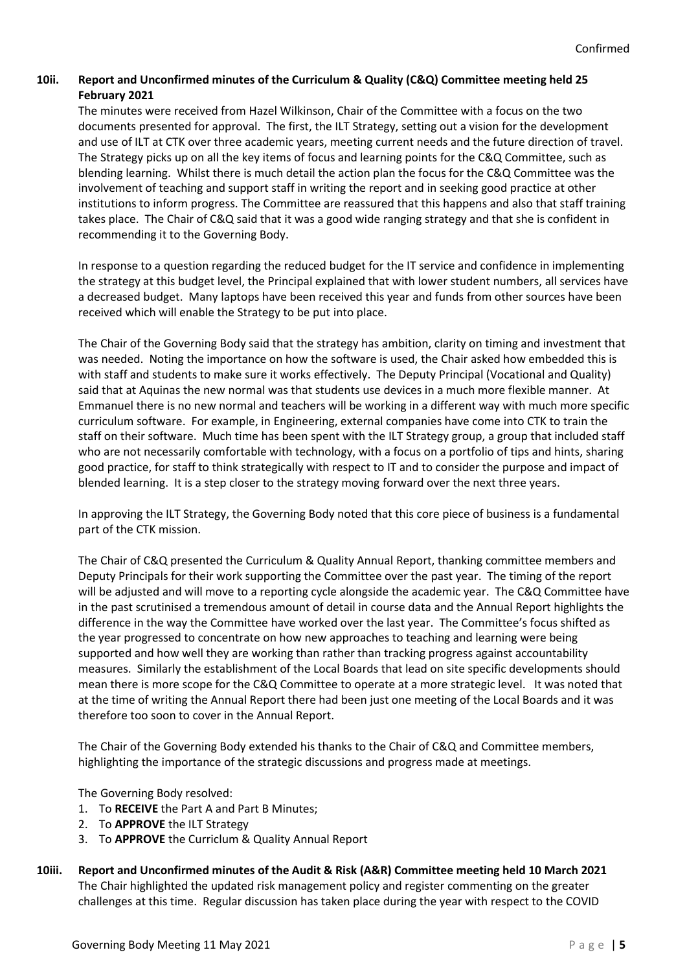# **10ii. Report and Unconfirmed minutes of the Curriculum & Quality (C&Q) Committee meeting held 25 February 2021**

The minutes were received from Hazel Wilkinson, Chair of the Committee with a focus on the two documents presented for approval. The first, the ILT Strategy, setting out a vision for the development and use of ILT at CTK over three academic years, meeting current needs and the future direction of travel. The Strategy picks up on all the key items of focus and learning points for the C&Q Committee, such as blending learning. Whilst there is much detail the action plan the focus for the C&Q Committee was the involvement of teaching and support staff in writing the report and in seeking good practice at other institutions to inform progress. The Committee are reassured that this happens and also that staff training takes place. The Chair of C&Q said that it was a good wide ranging strategy and that she is confident in recommending it to the Governing Body.

In response to a question regarding the reduced budget for the IT service and confidence in implementing the strategy at this budget level, the Principal explained that with lower student numbers, all services have a decreased budget. Many laptops have been received this year and funds from other sources have been received which will enable the Strategy to be put into place.

The Chair of the Governing Body said that the strategy has ambition, clarity on timing and investment that was needed. Noting the importance on how the software is used, the Chair asked how embedded this is with staff and students to make sure it works effectively. The Deputy Principal (Vocational and Quality) said that at Aquinas the new normal was that students use devices in a much more flexible manner. At Emmanuel there is no new normal and teachers will be working in a different way with much more specific curriculum software. For example, in Engineering, external companies have come into CTK to train the staff on their software. Much time has been spent with the ILT Strategy group, a group that included staff who are not necessarily comfortable with technology, with a focus on a portfolio of tips and hints, sharing good practice, for staff to think strategically with respect to IT and to consider the purpose and impact of blended learning. It is a step closer to the strategy moving forward over the next three years.

In approving the ILT Strategy, the Governing Body noted that this core piece of business is a fundamental part of the CTK mission.

The Chair of C&Q presented the Curriculum & Quality Annual Report, thanking committee members and Deputy Principals for their work supporting the Committee over the past year. The timing of the report will be adjusted and will move to a reporting cycle alongside the academic year. The C&Q Committee have in the past scrutinised a tremendous amount of detail in course data and the Annual Report highlights the difference in the way the Committee have worked over the last year. The Committee's focus shifted as the year progressed to concentrate on how new approaches to teaching and learning were being supported and how well they are working than rather than tracking progress against accountability measures. Similarly the establishment of the Local Boards that lead on site specific developments should mean there is more scope for the C&Q Committee to operate at a more strategic level. It was noted that at the time of writing the Annual Report there had been just one meeting of the Local Boards and it was therefore too soon to cover in the Annual Report.

The Chair of the Governing Body extended his thanks to the Chair of C&Q and Committee members, highlighting the importance of the strategic discussions and progress made at meetings.

The Governing Body resolved:

- 1. To **RECEIVE** the Part A and Part B Minutes;
- 2. To **APPROVE** the ILT Strategy
- 3. To **APPROVE** the Curriclum & Quality Annual Report
- **10iii. Report and Unconfirmed minutes of the Audit & Risk (A&R) Committee meeting held 10 March 2021** The Chair highlighted the updated risk management policy and register commenting on the greater challenges at this time. Regular discussion has taken place during the year with respect to the COVID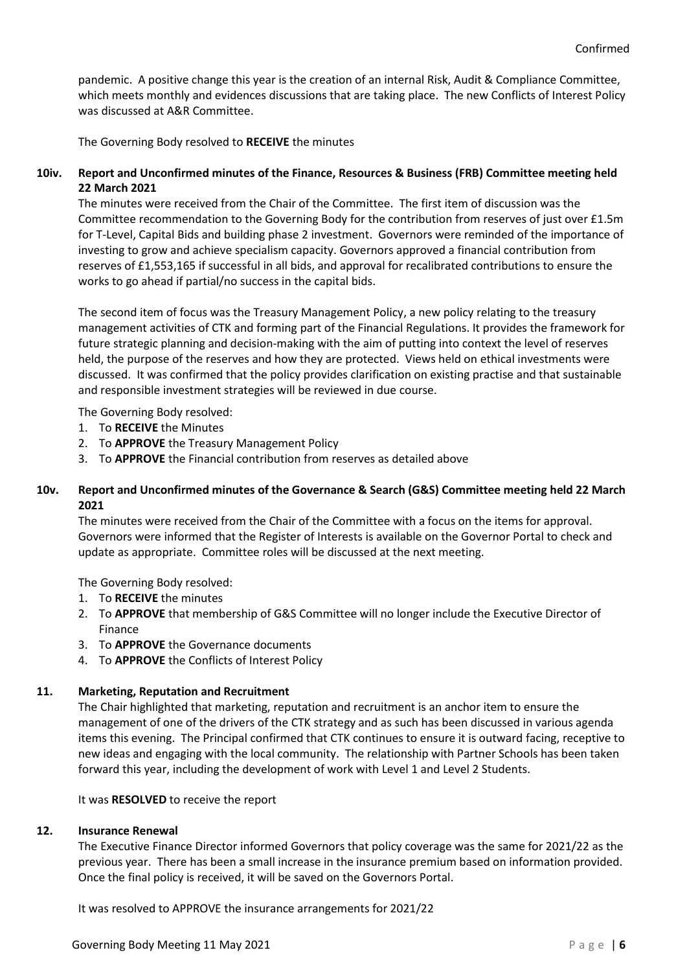pandemic. A positive change this year is the creation of an internal Risk, Audit & Compliance Committee, which meets monthly and evidences discussions that are taking place. The new Conflicts of Interest Policy was discussed at A&R Committee.

The Governing Body resolved to **RECEIVE** the minutes

# **10iv. Report and Unconfirmed minutes of the Finance, Resources & Business (FRB) Committee meeting held 22 March 2021**

The minutes were received from the Chair of the Committee. The first item of discussion was the Committee recommendation to the Governing Body for the contribution from reserves of just over £1.5m for T-Level, Capital Bids and building phase 2 investment. Governors were reminded of the importance of investing to grow and achieve specialism capacity. Governors approved a financial contribution from reserves of £1,553,165 if successful in all bids, and approval for recalibrated contributions to ensure the works to go ahead if partial/no success in the capital bids.

The second item of focus was the Treasury Management Policy, a new policy relating to the treasury management activities of CTK and forming part of the Financial Regulations. It provides the framework for future strategic planning and decision-making with the aim of putting into context the level of reserves held, the purpose of the reserves and how they are protected. Views held on ethical investments were discussed. It was confirmed that the policy provides clarification on existing practise and that sustainable and responsible investment strategies will be reviewed in due course.

The Governing Body resolved:

- 1. To **RECEIVE** the Minutes
- 2. To **APPROVE** the Treasury Management Policy
- 3. To **APPROVE** the Financial contribution from reserves as detailed above

# **10v. Report and Unconfirmed minutes of the Governance & Search (G&S) Committee meeting held 22 March 2021**

The minutes were received from the Chair of the Committee with a focus on the items for approval. Governors were informed that the Register of Interests is available on the Governor Portal to check and update as appropriate. Committee roles will be discussed at the next meeting.

The Governing Body resolved:

- 1. To **RECEIVE** the minutes
- 2. To **APPROVE** that membership of G&S Committee will no longer include the Executive Director of Finance
- 3. To **APPROVE** the Governance documents
- 4. To **APPROVE** the Conflicts of Interest Policy

#### **11. Marketing, Reputation and Recruitment**

The Chair highlighted that marketing, reputation and recruitment is an anchor item to ensure the management of one of the drivers of the CTK strategy and as such has been discussed in various agenda items this evening. The Principal confirmed that CTK continues to ensure it is outward facing, receptive to new ideas and engaging with the local community. The relationship with Partner Schools has been taken forward this year, including the development of work with Level 1 and Level 2 Students.

It was **RESOLVED** to receive the report

# **12. Insurance Renewal**

The Executive Finance Director informed Governors that policy coverage was the same for 2021/22 as the previous year. There has been a small increase in the insurance premium based on information provided. Once the final policy is received, it will be saved on the Governors Portal.

It was resolved to APPROVE the insurance arrangements for 2021/22